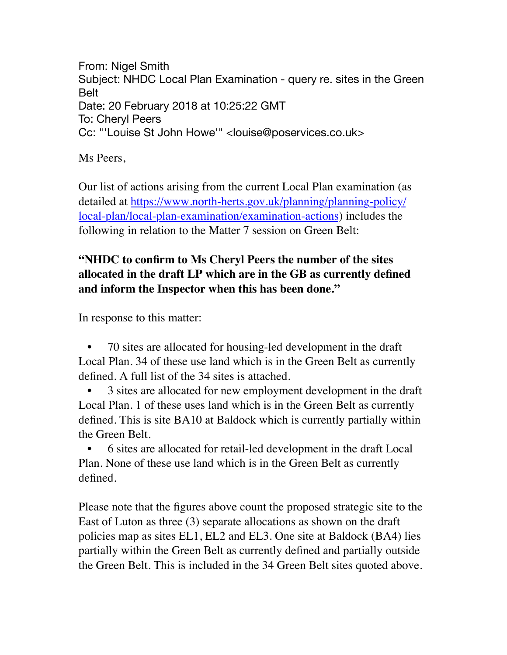From: Nigel Smith Subject: NHDC Local Plan Examination - query re. sites in the Green Belt Date: 20 February 2018 at 10:25:22 GMT To: Cheryl Peers Cc: "'Louise St John Howe'" <louise@poservices.co.uk>

Ms Peers,

Our list of actions arising from the current Local Plan examination (as detailed at [https://www.north-herts.gov.uk/planning/planning-policy/](https://www.north-herts.gov.uk/planning/planning-policy/local-plan/local-plan-examination/examination-actions) [local-plan/local-plan-examination/examination-actions](https://www.north-herts.gov.uk/planning/planning-policy/local-plan/local-plan-examination/examination-actions)) includes the following in relation to the Matter 7 session on Green Belt:

## **"NHDC to confirm to Ms Cheryl Peers the number of the sites allocated in the draft LP which are in the GB as currently defined and inform the Inspector when this has been done."**

In response to this matter:

• 70 sites are allocated for housing-led development in the draft Local Plan. 34 of these use land which is in the Green Belt as currently defined. A full list of the 34 sites is attached.

• 3 sites are allocated for new employment development in the draft Local Plan. 1 of these uses land which is in the Green Belt as currently defined. This is site BA10 at Baldock which is currently partially within the Green Belt.

• 6 sites are allocated for retail-led development in the draft Local Plan. None of these use land which is in the Green Belt as currently defined.

Please note that the figures above count the proposed strategic site to the East of Luton as three (3) separate allocations as shown on the draft policies map as sites EL1, EL2 and EL3. One site at Baldock (BA4) lies partially within the Green Belt as currently defined and partially outside the Green Belt. This is included in the 34 Green Belt sites quoted above.